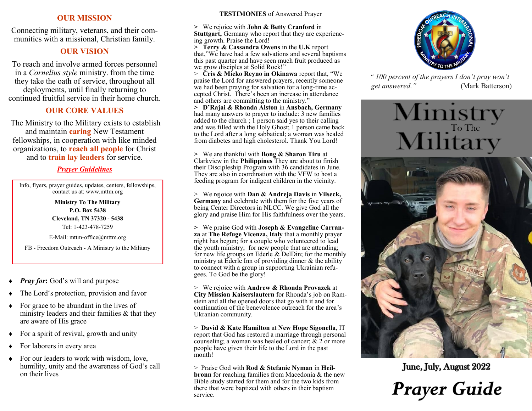#### **OUR MISSION**

Connecting military, veterans, and their communities with a missional, Christian family.

# **OUR VISION**

To reach and involve armed forces personnel in a *Cornelius style* ministry. from the time they take the oath of service, throughout all deployments, until finally returning to continued fruitful service in their home church.

## **OUR CORE VALUES**

The Ministry to the Military exists to establish and maintain **caring** New Testament fellowships, in cooperation with like minded organizations, to **reach all people** for Christ and to **train lay leaders** for service.

## *Prayer Guidelines*

Info, flyers, prayer guides, updates, centers, fellowships, contact us at: www.mttm.org

> **Ministry To The Military P.O. Box 5438 Cleveland, TN 37320 - 5438** Tel: 1-423-478-7259

E-Mail: mttm-office@mttm.org

FB - Freedom Outreach - A Ministry to the Military

- *Pray for***:** God's will and purpose
- The Lord's protection, provision and favor
- For grace to be abundant in the lives of ministry leaders and their families & that they are aware of His grace
- For a spirit of revival, growth and unity
- For laborers in every area
- For our leaders to work with wisdom, love, humility, unity and the awareness of God's call on their lives

#### **TESTIMONIES** of Answered Prayer

**>** We rejoice with **John & Betty Cranford** in **Stuttgart,** Germany who report that they are experiencing growth. Praise the Lord!

**> Terry & Cassandra Owens** in the **U.K** report that,"We have had a few salvations and several baptisms this past quarter and have seen much fruit produced as we grow disciples at Solid Rock!"

> **Cris & Mieko Reyno in Okinawa** report that, "We praise the Lord for answered prayers, recently someone we had been praying for salvation for a long-time accepted Christ. There's been an increase in attendance and others are committing to the ministry."

**> D'Rajai & Rhonda Alston** in **Ansbach, Germany**  had many answers to prayer to include: 3 new families added to the church ;  $\frac{1}{2}$  person said yes to their calling and was filled with the Holy Ghost; 1 person came back to the Lord after a long sabbatical; a woman was healed from diabetes and high cholesterol. Thank You Lord!

**>** We are thankful with **Bong & Sharon Tiru** at Clarkview in the **Philippines** They are about to finish their Discipleship Program with 36 candidates in June. They are also in coordination with the VFW to host a feeding program for indigent children in the vicinity.

> We rejoice with **Dan & Andreja Davis** in **Vilseck, Germany** and celebrate with them for the five years of being Center Directors in NLCC. We give God all the glory and praise Him for His faithfulness over the years.

**>** We praise God with **Joseph & Evangeline Carranza** at **The Refuge Vicenza, Italy** that a monthly prayer night has begun; for a couple who volunteered to lead the youth ministry; for new people that are attending; for new life groups on Ederle & DelDin; for the monthly ministry at Ederle Inn of providing dinner & the ability to connect with a group in supporting Ukrainian refugees. To God be the glory!

> We rejoice with **Andrew & Rhonda Provazek** at **City Mission Kaiserslautern** for Rhonda's job on Ramstein and all the opened doors that go with it and for continuation of the benevolence outreach for the area's Ukranian community.

> **David & Kate Hamilton** at **New Hope Sigonella**, IT report that God has restored a marriage through personal counseling; a woman was healed of cancer;  $& 2$  or more people have given their life to the Lord in the past month!

> Praise God with **Rod & Stefanie Nyman** in **Heilbronn** for reaching families from Macedonia & the new Bible study started for them and for the two kids from there that were baptized with others in their baptism service.



 *" 100 percent of the prayers I don't pray won't get answered."* (Mark Batterson)

# Ministry<br>Military



June, July, August 2022

**Prayer Guide**